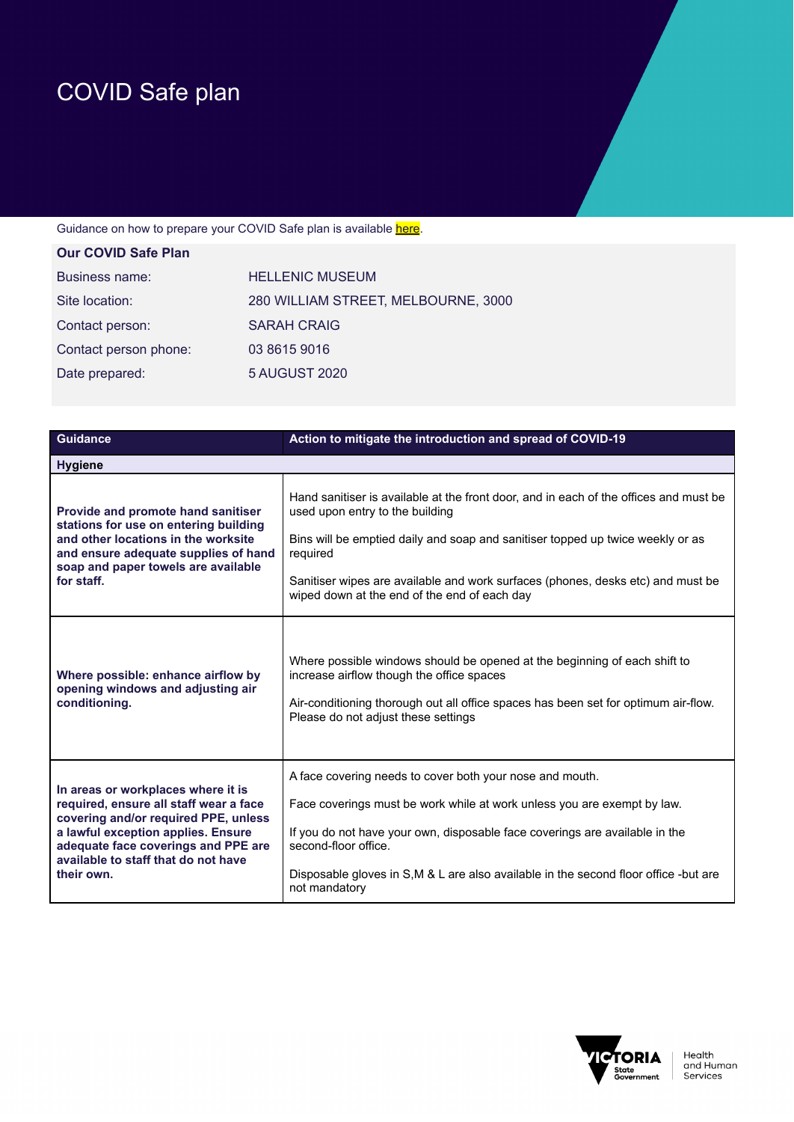## COVID Safe plan

## Guidance on how to prepare your COVID Safe plan is available here.

| <b>Our COVID Safe Plan</b> |                                     |
|----------------------------|-------------------------------------|
| Business name:             | <b>HELLENIC MUSEUM</b>              |
| Site location:             | 280 WILLIAM STREET, MELBOURNE, 3000 |
| Contact person:            | <b>SARAH CRAIG</b>                  |
| Contact person phone:      | 03 8615 9016                        |
| Date prepared:             | <b>5 AUGUST 2020</b>                |
|                            |                                     |

| <b>Guidance</b>                                                                                                                                                                                                                                        | Action to mitigate the introduction and spread of COVID-19                                                                                                                                                                                                                                                                                                |  |
|--------------------------------------------------------------------------------------------------------------------------------------------------------------------------------------------------------------------------------------------------------|-----------------------------------------------------------------------------------------------------------------------------------------------------------------------------------------------------------------------------------------------------------------------------------------------------------------------------------------------------------|--|
| <b>Hygiene</b>                                                                                                                                                                                                                                         |                                                                                                                                                                                                                                                                                                                                                           |  |
| Provide and promote hand sanitiser<br>stations for use on entering building<br>and other locations in the worksite<br>and ensure adequate supplies of hand<br>soap and paper towels are available<br>for staff.                                        | Hand sanitiser is available at the front door, and in each of the offices and must be<br>used upon entry to the building<br>Bins will be emptied daily and soap and sanitiser topped up twice weekly or as<br>required<br>Sanitiser wipes are available and work surfaces (phones, desks etc) and must be<br>wiped down at the end of the end of each day |  |
| Where possible: enhance airflow by<br>opening windows and adjusting air<br>conditioning.                                                                                                                                                               | Where possible windows should be opened at the beginning of each shift to<br>increase airflow though the office spaces<br>Air-conditioning thorough out all office spaces has been set for optimum air-flow.<br>Please do not adjust these settings                                                                                                       |  |
| In areas or workplaces where it is<br>required, ensure all staff wear a face<br>covering and/or required PPE, unless<br>a lawful exception applies. Ensure<br>adequate face coverings and PPE are<br>available to staff that do not have<br>their own. | A face covering needs to cover both your nose and mouth.<br>Face coverings must be work while at work unless you are exempt by law.<br>If you do not have your own, disposable face coverings are available in the<br>second-floor office.<br>Disposable gloves in S,M & L are also available in the second floor office -but are<br>not mandatory        |  |

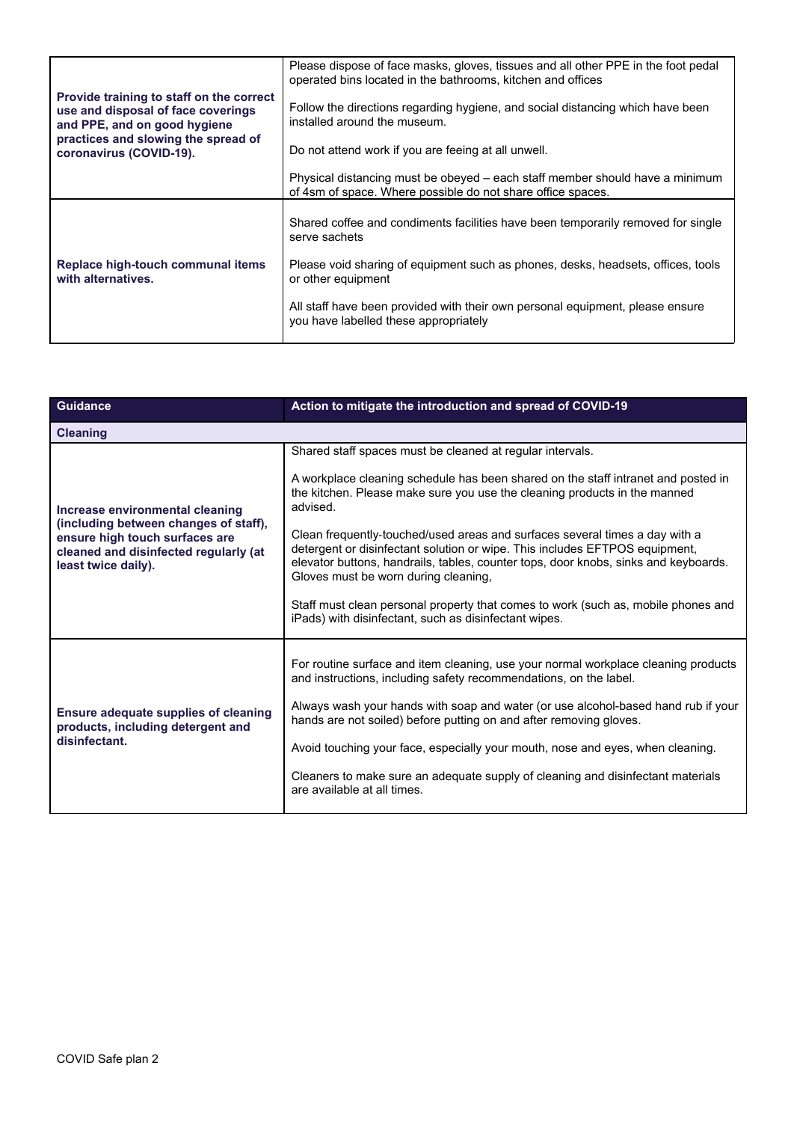| Provide training to staff on the correct                           | Please dispose of face masks, gloves, tissues and all other PPE in the foot pedal<br>operated bins located in the bathrooms, kitchen and offices |
|--------------------------------------------------------------------|--------------------------------------------------------------------------------------------------------------------------------------------------|
| use and disposal of face coverings<br>and PPE, and on good hygiene | Follow the directions regarding hygiene, and social distancing which have been<br>installed around the museum.                                   |
| practices and slowing the spread of<br>coronavirus (COVID-19).     | Do not attend work if you are feeing at all unwell.                                                                                              |
|                                                                    | Physical distancing must be obeyed – each staff member should have a minimum<br>of 4sm of space. Where possible do not share office spaces.      |
|                                                                    | Shared coffee and condiments facilities have been temporarily removed for single<br>serve sachets                                                |
| Replace high-touch communal items<br>with alternatives.            | Please void sharing of equipment such as phones, desks, headsets, offices, tools<br>or other equipment                                           |
|                                                                    | All staff have been provided with their own personal equipment, please ensure<br>you have labelled these appropriately                           |

| <b>Guidance</b>                                                                                                                                                            | Action to mitigate the introduction and spread of COVID-19                                                                                                                                                                                                                                                                                                                                                                                                                                                                                                                                                                                                                         |
|----------------------------------------------------------------------------------------------------------------------------------------------------------------------------|------------------------------------------------------------------------------------------------------------------------------------------------------------------------------------------------------------------------------------------------------------------------------------------------------------------------------------------------------------------------------------------------------------------------------------------------------------------------------------------------------------------------------------------------------------------------------------------------------------------------------------------------------------------------------------|
| <b>Cleaning</b>                                                                                                                                                            |                                                                                                                                                                                                                                                                                                                                                                                                                                                                                                                                                                                                                                                                                    |
| Increase environmental cleaning<br>(including between changes of staff),<br>ensure high touch surfaces are<br>cleaned and disinfected regularly (at<br>least twice daily). | Shared staff spaces must be cleaned at regular intervals.<br>A workplace cleaning schedule has been shared on the staff intranet and posted in<br>the kitchen. Please make sure you use the cleaning products in the manned<br>advised.<br>Clean frequently-touched/used areas and surfaces several times a day with a<br>detergent or disinfectant solution or wipe. This includes EFTPOS equipment,<br>elevator buttons, handrails, tables, counter tops, door knobs, sinks and keyboards.<br>Gloves must be worn during cleaning,<br>Staff must clean personal property that comes to work (such as, mobile phones and<br>iPads) with disinfectant, such as disinfectant wipes. |
| <b>Ensure adequate supplies of cleaning</b><br>products, including detergent and<br>disinfectant.                                                                          | For routine surface and item cleaning, use your normal workplace cleaning products<br>and instructions, including safety recommendations, on the label.<br>Always wash your hands with soap and water (or use alcohol-based hand rub if your<br>hands are not soiled) before putting on and after removing gloves.<br>Avoid touching your face, especially your mouth, nose and eyes, when cleaning.<br>Cleaners to make sure an adequate supply of cleaning and disinfectant materials<br>are available at all times.                                                                                                                                                             |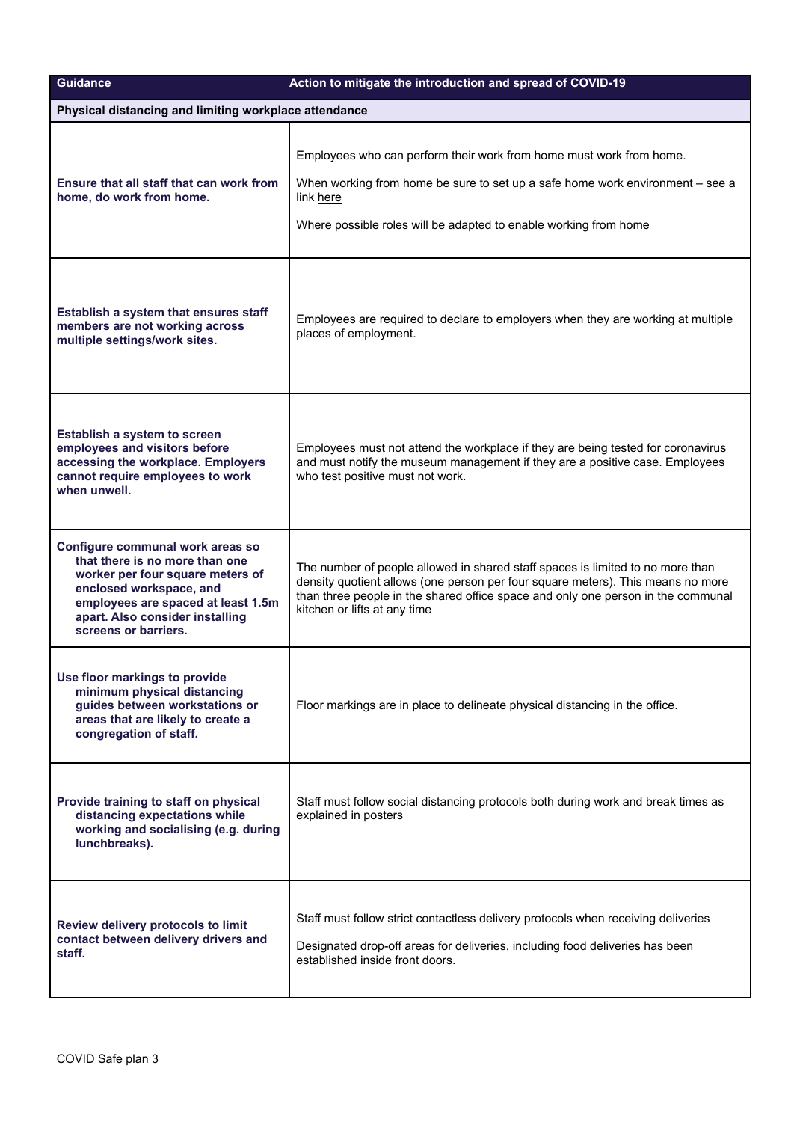| <b>Guidance</b>                                                                                                                                                                                                                    | Action to mitigate the introduction and spread of COVID-19                                                                                                                                                                                                                            |
|------------------------------------------------------------------------------------------------------------------------------------------------------------------------------------------------------------------------------------|---------------------------------------------------------------------------------------------------------------------------------------------------------------------------------------------------------------------------------------------------------------------------------------|
| Physical distancing and limiting workplace attendance                                                                                                                                                                              |                                                                                                                                                                                                                                                                                       |
| Ensure that all staff that can work from<br>home, do work from home.                                                                                                                                                               | Employees who can perform their work from home must work from home.<br>When working from home be sure to set up a safe home work environment - see a<br>link here<br>Where possible roles will be adapted to enable working from home                                                 |
| Establish a system that ensures staff<br>members are not working across<br>multiple settings/work sites.                                                                                                                           | Employees are required to declare to employers when they are working at multiple<br>places of employment.                                                                                                                                                                             |
| Establish a system to screen<br>employees and visitors before<br>accessing the workplace. Employers<br>cannot require employees to work<br>when unwell.                                                                            | Employees must not attend the workplace if they are being tested for coronavirus<br>and must notify the museum management if they are a positive case. Employees<br>who test positive must not work.                                                                                  |
| Configure communal work areas so<br>that there is no more than one<br>worker per four square meters of<br>enclosed workspace, and<br>employees are spaced at least 1.5m<br>apart. Also consider installing<br>screens or barriers. | The number of people allowed in shared staff spaces is limited to no more than<br>density quotient allows (one person per four square meters). This means no more<br>than three people in the shared office space and only one person in the communal<br>kitchen or lifts at any time |
| Use floor markings to provide<br>minimum physical distancing<br>guides between workstations or<br>areas that are likely to create a<br>congregation of staff.                                                                      | Floor markings are in place to delineate physical distancing in the office.                                                                                                                                                                                                           |
| Provide training to staff on physical<br>distancing expectations while<br>working and socialising (e.g. during<br>lunchbreaks).                                                                                                    | Staff must follow social distancing protocols both during work and break times as<br>explained in posters                                                                                                                                                                             |
| Review delivery protocols to limit<br>contact between delivery drivers and<br>staff.                                                                                                                                               | Staff must follow strict contactless delivery protocols when receiving deliveries<br>Designated drop-off areas for deliveries, including food deliveries has been<br>established inside front doors.                                                                                  |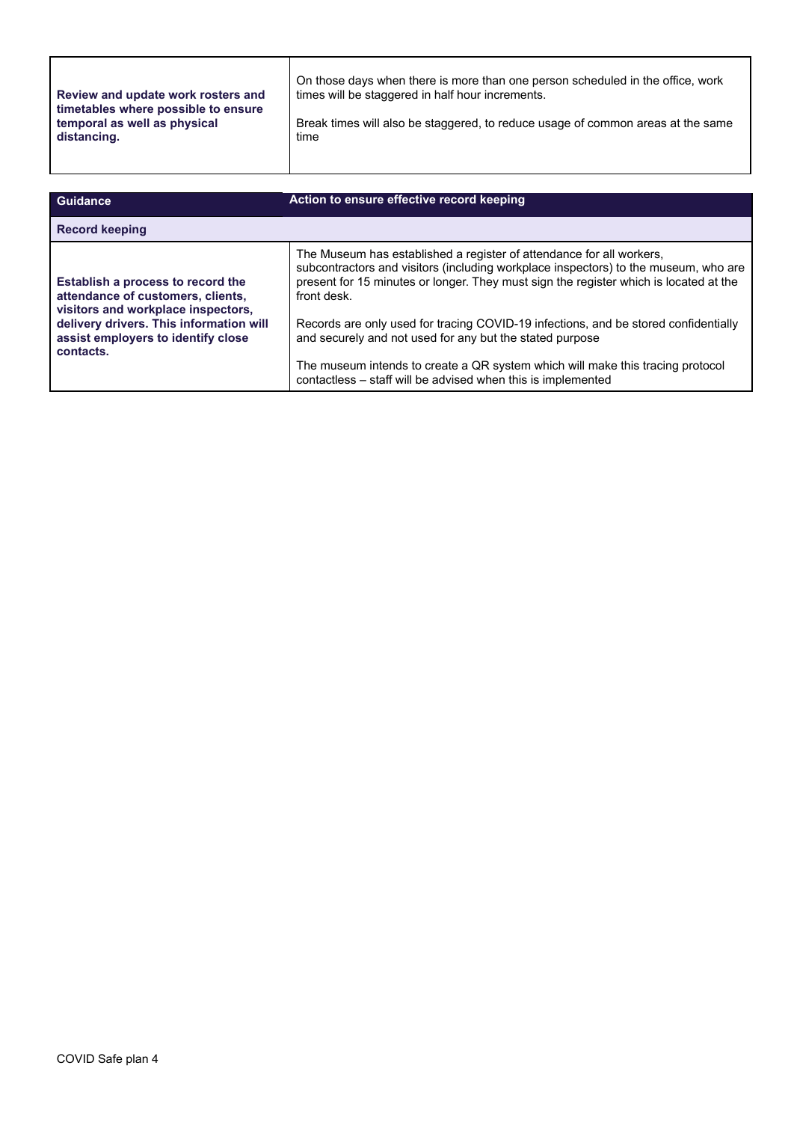| Review and update work rosters and  | On those days when there is more than one person scheduled in the office, work  |
|-------------------------------------|---------------------------------------------------------------------------------|
| timetables where possible to ensure | times will be staggered in half hour increments.                                |
| temporal as well as physical        | Break times will also be staggered, to reduce usage of common areas at the same |
| distancing.                         | time                                                                            |

| <b>Guidance</b>                                                                                                                                                                                            | Action to ensure effective record keeping                                                                                                                                                                                                                                                                                                                                                                                                                                                                                                                                |
|------------------------------------------------------------------------------------------------------------------------------------------------------------------------------------------------------------|--------------------------------------------------------------------------------------------------------------------------------------------------------------------------------------------------------------------------------------------------------------------------------------------------------------------------------------------------------------------------------------------------------------------------------------------------------------------------------------------------------------------------------------------------------------------------|
| <b>Record keeping</b>                                                                                                                                                                                      |                                                                                                                                                                                                                                                                                                                                                                                                                                                                                                                                                                          |
| Establish a process to record the<br>attendance of customers, clients,<br>visitors and workplace inspectors,<br>delivery drivers. This information will<br>assist employers to identify close<br>contacts. | The Museum has established a register of attendance for all workers,<br>subcontractors and visitors (including workplace inspectors) to the museum, who are<br>present for 15 minutes or longer. They must sign the register which is located at the<br>front desk.<br>Records are only used for tracing COVID-19 infections, and be stored confidentially<br>and securely and not used for any but the stated purpose<br>The museum intends to create a QR system which will make this tracing protocol<br>contactless - staff will be advised when this is implemented |